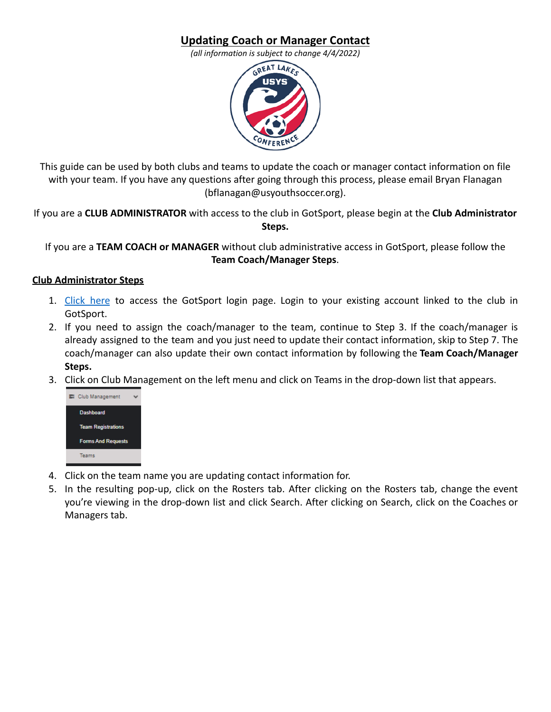## **Updating Coach or Manager Contact**

*(all information is subject to change 4/4/2022)*



This guide can be used by both clubs and teams to update the coach or manager contact information on file with your team. If you have any questions after going through this process, please email Bryan Flanagan (bflanagan@usyouthsoccer.org).

If you are a **CLUB ADMINISTRATOR** with access to the club in GotSport, please begin at the **Club Administrator Steps.**

If you are a **TEAM COACH or MANAGER** without club administrative access in GotSport, please follow the **Team Coach/Manager Steps**.

## **Club Administrator Steps**

- 1. [Click](https://system.gotsport.com/) here to access the GotSport login page. Login to your existing account linked to the club in GotSport.
- 2. If you need to assign the coach/manager to the team, continue to Step 3. If the coach/manager is already assigned to the team and you just need to update their contact information, skip to Step 7. The coach/manager can also update their own contact information by following the **Team Coach/Manager Steps.**
- 3. Click on Club Management on the left menu and click on Teams in the drop-down list that appears.



- 4. Click on the team name you are updating contact information for.
- 5. In the resulting pop-up, click on the Rosters tab. After clicking on the Rosters tab, change the event you're viewing in the drop-down list and click Search. After clicking on Search, click on the Coaches or Managers tab.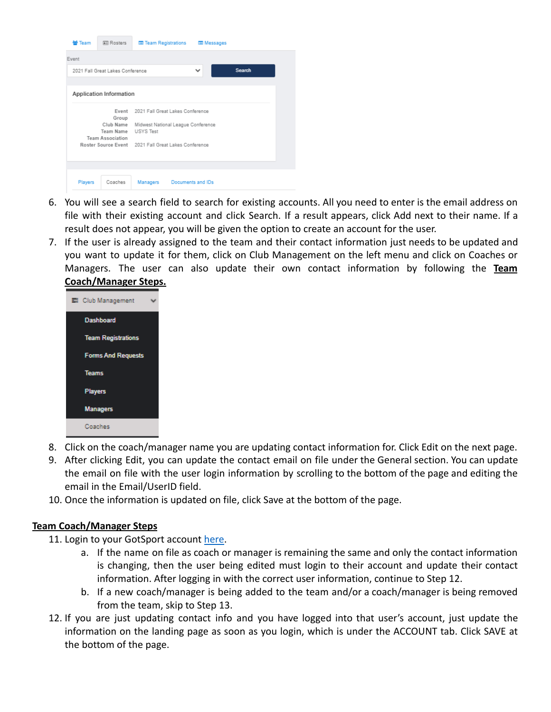| 쓥 Team                                             | <b>All Rosters</b>                                | <b>E Team Registrations</b>                            |                   | <b>Ell</b> Messages |        |  |
|----------------------------------------------------|---------------------------------------------------|--------------------------------------------------------|-------------------|---------------------|--------|--|
| Event                                              |                                                   |                                                        |                   |                     |        |  |
|                                                    | 2021 Fall Great Lakes Conference                  |                                                        |                   | $\checkmark$        | Search |  |
|                                                    | Application Information                           |                                                        |                   |                     |        |  |
| Event<br>2021 Fall Great Lakes Conference<br>Group |                                                   |                                                        |                   |                     |        |  |
|                                                    | Club Name<br>Team Name<br><b>Team Association</b> | Midwest National League Conference<br><b>USYS Test</b> |                   |                     |        |  |
|                                                    |                                                   | Roster Source Event 2021 Fall Great Lakes Conference   |                   |                     |        |  |
| Players                                            | Coaches                                           | Managers                                               | Documents and IDs |                     |        |  |

- 6. You will see a search field to search for existing accounts. All you need to enter is the email address on file with their existing account and click Search. If a result appears, click Add next to their name. If a result does not appear, you will be given the option to create an account for the user.
- 7. If the user is already assigned to the team and their contact information just needs to be updated and you want to update it for them, click on Club Management on the left menu and click on Coaches or Managers. The user can also update their own contact information by following the **Team Coach/Manager Steps.**



- 8. Click on the coach/manager name you are updating contact information for. Click Edit on the next page.
- 9. After clicking Edit, you can update the contact email on file under the General section. You can update the email on file with the user login information by scrolling to the bottom of the page and editing the email in the Email/UserID field.
- 10. Once the information is updated on file, click Save at the bottom of the page.

## **Team Coach/Manager Steps**

- 11. Login to your GotSport account [here](https://system.gotsport.com/).
	- a. If the name on file as coach or manager is remaining the same and only the contact information is changing, then the user being edited must login to their account and update their contact information. After logging in with the correct user information, continue to Step 12.
	- b. If a new coach/manager is being added to the team and/or a coach/manager is being removed from the team, skip to Step 13.
- 12. If you are just updating contact info and you have logged into that user's account, just update the information on the landing page as soon as you login, which is under the ACCOUNT tab. Click SAVE at the bottom of the page.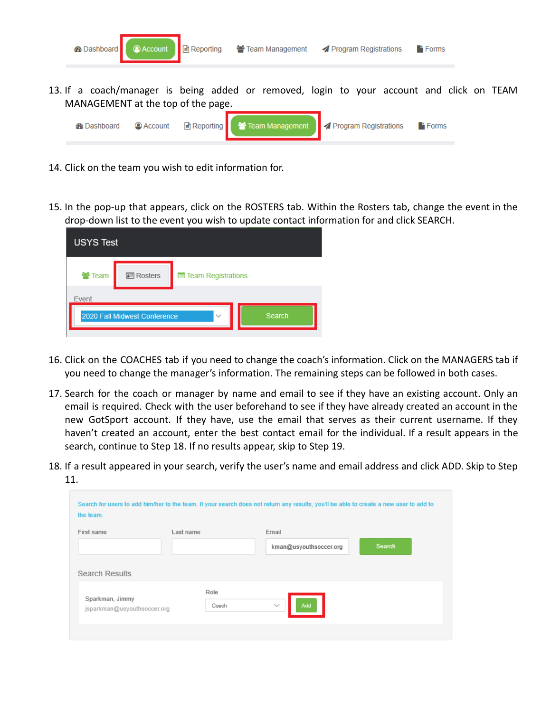

- 14. Click on the team you wish to edit information for.
- 15. In the pop-up that appears, click on the ROSTERS tab. Within the Rosters tab, change the event in the drop-down list to the event you wish to update contact information for and click SEARCH.

| <b>USYS Test</b> |                              |                    |        |
|------------------|------------------------------|--------------------|--------|
| 警 Team           | 图 Rosters                    | Team Registrations |        |
| Event            | 2020 Fall Midwest Conference | $\checkmark$       | Search |
|                  |                              |                    |        |

- 16. Click on the COACHES tab if you need to change the coach's information. Click on the MANAGERS tab if you need to change the manager's information. The remaining steps can be followed in both cases.
- 17. Search for the coach or manager by name and email to see if they have an existing account. Only an email is required. Check with the user beforehand to see if they have already created an account in the new GotSport account. If they have, use the email that serves as their current username. If they haven't created an account, enter the best contact email for the individual. If a result appears in the search, continue to Step 18. If no results appear, skip to Step 19.
- 18. If a result appeared in your search, verify the user's name and email address and click ADD. Skip to Step 11.

| the team.                                      |           |                        |        |  |
|------------------------------------------------|-----------|------------------------|--------|--|
| First name                                     | Last name | Email                  |        |  |
|                                                |           | kman@usyouthsoccer.org | Search |  |
| Search Results                                 |           |                        |        |  |
|                                                | Role      |                        |        |  |
| Sparkman, Jimmy<br>jsparkman@usyouthsoccer.org | Coach     | Add<br>$\checkmark$    |        |  |
|                                                |           |                        |        |  |